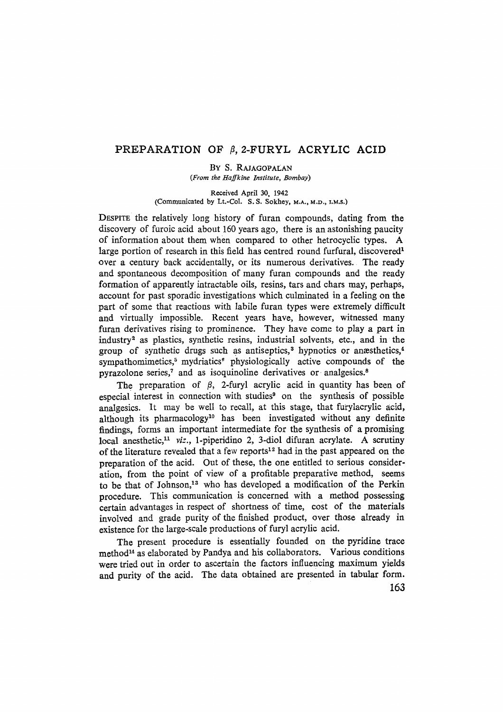## PREPARATION OF  $\beta$ , 2-FURYL ACRYLIC ACID

BY S. RAJAGOPALAN

*(From the Haffkine Institute, Bombay)* 

Received April 30, 1942 (Communicated by Lt.-Col. S.S. Sokhey, M.A., M.D., I.M.S.)

DESPITE the relatively long history of furan compounds, dating from the discovery of furoic acid about 160 years ago, there is an astonishing paucity of information about them when compared to other hetrocyclic types. A large portion of research in this field has centred round furfural, discovered<sup>1</sup> over a century back accidentally, of its numerous derivatives. The ready and spontaneous decomposition of many furan compounds and the ready formation of apparently intractable oils, resins, tars and chars may, perhapS, account for past sporadic investigations which culminated in a feeling on the part of some that reactions with labile furan types were extremely difficult and virtually impossible. Recent years have, however, witnessed many furan derivatives rising to prominence. They have come to playa part in industry<sup>2</sup> as plastics, synthetic resins, industrial solvents, etc., and in the group of synthetic drugs such as antiseptics,<sup>3</sup> hypnotics or anæsthetics,<sup>4</sup> sympathomimetics,<sup>5</sup> mydriatics<sup>6</sup> physiologically active compounds of the pyrazolone series,<sup>7</sup> and as isoquinoline derivatives or analgesics.<sup>8</sup>

The preparation of  $\beta$ , 2-furyl acrylic acid in quantity has been of especial interest in connection with studies<sup>9</sup> on the synthesis of possible analgesics. It may be well to recall, at this stage, that furylacrylic acid, although its pharmacology<sup>10</sup> has been investigated without any definite findings, forms an important intermediate for the synthesis of a promising  $local$  anesthetic,<sup>11</sup> *viz.*, 1-piperidino 2, 3-diol difuran acrylate. A scrutiny of the literature revealed that a few reports<sup>12</sup> had in the past appeared on the preparation of the acid. Out of these, the one entitled to serious consideration, from the point of view of a profitable preparative method, seems to be that of Johnson,<sup>13</sup> who has developed a modification of the Perkin procedure. This communication is concerned with a method possessing certain advantages in respect of shortness of time, cost of the materials involved and grade purity of the finished product, over those already in existence for the large-scale productions of furyl acrylie acid.

The present procedure is essentially founded on the pyridine trace  $method<sup>14</sup>$  as elaborated by Pandya and his collaborators. Various conditions were tried out in order to ascertain the factors influencing maximum yields and purity of the acid. The data obtained are presented in tabular form.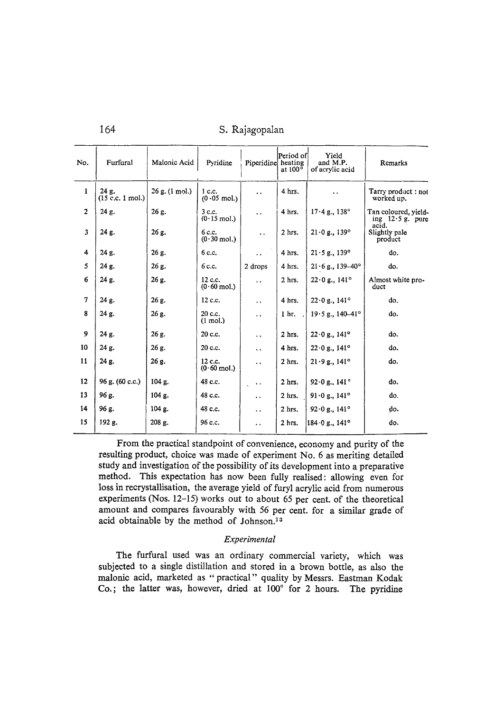# 164 S. Rajagopalan

| No.                     | Furfural                    | Malonic Acid               | Pyridine                         | Piperidine heating        | Period of<br>at 100° | Yield<br>and M.P.<br>of acrylic acid                       | Remarks                                    |
|-------------------------|-----------------------------|----------------------------|----------------------------------|---------------------------|----------------------|------------------------------------------------------------|--------------------------------------------|
| $\mathbf{1}$            | 24 g.<br>$(15$ c.c. 1 mol.) | $26$ g. $(1 \text{ mol.})$ | $1c$ .<br>$(0.05 \text{ mol.})$  | $\ddotsc$                 | 4 hrs.               |                                                            | Tarry product: not<br>worked up.           |
| $\overline{2}$          | 24 g.                       | $26g$ .                    | 3c.c.<br>$(0.15 \text{ mol.})$   | $\ddot{\phantom{a}}$      | 4 hrs.               | $17.4$ g., $138^\circ$                                     | Tan coloured, yield-<br>ing $12.5$ g, pure |
| $\overline{\mathbf{3}}$ | 24 g.                       | 26 g.                      | 6 c.c.<br>$(0.30 \text{ mol.})$  | $\ddot{\phantom{a}}$      | 2 hrs.               | acid.<br>$21 \cdot 0$ g., 139°<br>Slightly pale<br>product |                                            |
| 4                       | 24 g.                       | 26g.                       | 6c.c.                            | $\ddot{\phantom{a}}$      | 4 hrs.               | $21 \cdot 5$ g., 139°                                      | do.                                        |
| 5                       | 24 g.                       | 26 g.                      | 6 c.c.                           | 2 drops                   | 4 hrs.               | $21 \cdot 6$ g., 139-40°                                   | do.                                        |
| 6                       | 24 g.                       | 26 g.                      | 12 c.c.<br>$(0.60 \text{ mol.})$ | $\ddot{\phantom{a}}$      | $2$ hrs.             | $22 \cdot 0$ g., 141 <sup>o</sup>                          | Almost white pro-<br>duct                  |
| $\overline{7}$          | 24 g.                       | 26 g.                      | 12 c.c.                          | $\ddot{\phantom{0}}$      | 4 hrs.               | $22 \cdot 0$ g., $141^{\circ}$                             | do.                                        |
| 8                       | $24$ g.                     | 26 g.                      | 20 c.c.<br>$(1 \text{ mol.})$    | $\ddot{\phantom{0}}$      | 1 <sub>hr.</sub>     | $19.5$ g., $140-41^{\circ}$                                | do.                                        |
| 9                       | 24 g.                       | 26 g.                      | 20 c.c.                          | μ.                        | $2$ hrs.             | $22 \cdot 0$ g., $141^{\circ}$                             | do.                                        |
| 10                      | 24 g.                       | 26 g.                      | 20 c.c.                          | $\ddot{\phantom{0}}$      | 4 hrs.               | $22 \cdot 0$ g., $141^{\circ}$                             | do.                                        |
| 11                      | 24 g.                       | 26 g.                      | 12 c.c.<br>$(0.60 \text{ mol.})$ | $\ddot{\phantom{0}}$      | 2 hrs.               | 21.9 g., 141°                                              | do.                                        |
| 12                      | 96 g. (60 c.c.)             | 104 g.                     | 48 c.c.                          | $\ddot{\phantom{0}}\cdot$ | 2 hrs.               | 92 $\cdot$ 0 g., 141 $\degree$                             | do.                                        |
| 13                      | 96 g.                       | 104 g.                     | 48 c.c.                          | $\ddot{\phantom{a}}$      | $2$ hrs.             | $91 \cdot 0$ g., $141^{\circ}$                             | do.                                        |
| 14                      | 96 g.                       | 104 g.                     | 48 c.c.                          | $\ddot{\phantom{0}}$      | $2$ hrs.             | 92.0 g., 141°                                              | do.                                        |
| 15                      | 192 g.                      | 208 g.                     | 96 c.c.                          | $\ddot{\phantom{0}}$      | $2$ hrs.             | 184.0 g., 141°                                             | do.                                        |

From the practica1 standpoint of convenience, economy and purity of the resulting product, choice was made of experiment No. 6 as meriting detailed study and investigation of the possibility of its development into a preparatiye method. This expectation has now been fully realised: allowing even for Ioss in recrystallisation, the average yield of furyl acrylic acid from numerous experiments (Nos. 12-15) works out to about 65 per cent. of the theoretical amount and compares favourably with 56 per cent. for a similar grade of acid obtainable by the method of Johnson.<sup>13</sup>

#### *Experimental*

The furfural used was an ordinary commercial variety, which was subjected to a single distillation and stored in a brown bottle, as also the malonic acid, marketed as "practical" quality by Messrs. Eastman Kodak Co.; the latter was, however, dried at 100° for 2 hours. The pyridine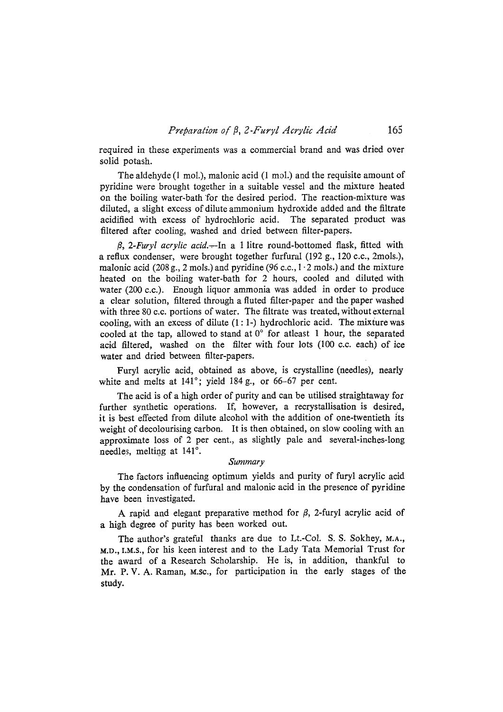required in these experiments was a eommercial brand and was dried over solid potash.

The aldehyde (1 mol.), malonic acid (1 mol.) and the requisite amount of pyridine were brought together in a suitable vessel and the mixture heated on the boiling water-bath for the desired period. The reaction-mixture was diluted, a slight excess of dilute ammonium hydroxide added and the filtrate acidified with excess of hydrochloric acid. The separated product was filtered after cooling, washed and dried between filter-papers.

*ti, 2-Furyl acrylic acid.-,--In* a 1 litre round-bottomed flask, fitted with a reflux condenser, were brought together furfural (192 g., 120 c.c., 2mols.), malonic acid (208 g., 2 mols.) and pyridine (96 c.c.,  $1 \cdot 2$  mols.) and the mixture heated on the boiling water-bath for 2 hours, cooled and diluted with water (200 c.c.). Enough liquor ammonia was added in order to produce a clear solution, filtered through a fluted filter-paper and the paper washed with three 80 c.c. portions of water. The filtrate was treated, without external cooling, with an excess of dilute  $(1:1-)$  hydrochloric acid. The mixture was cooled at the tap, allowed to stand at  $0^{\circ}$  for atleast 1 hour, the separated acid filtered, washed on the filter with four lots (100 c.c. each) of ice water and dried between filter-papers.

Furyl acrylic acid, obtained as above, is erystalline (needles), nearly white and melts at  $141^\circ$ ; yield  $184$  g., or 66-67 per cent.

The acid is of a high order of purity and can be utilised straightaway for further synthetic operations. If, however, a recrystallisation is desired, it is best effected from dilute alcohol with the addition of one-twentieth its weight of decolourising carbon. It is then obtained, on slow cooling with an approximate loss of 2 per cent., as slighfly pale and several-inches-long needles, melting at 141<sup>°</sup>.

#### *Summary*

The factors influencing optimum yields and purity of furyl acrylic acid by the condensation of furfural and malonic acid in the presence of pyridine have been investigated.

A rapid and elegant preparative method for  $\beta$ , 2-furyl acrylic acid of a high degree of purity has been worked out.

The author's grateful thanks are due to Lt.-Col. S. S. Sokhey, M.A., **M.O.,** I.M.S., for his keen interest and to the Lady Tata Memorial Trust for the award of a Research Scholarship. He is, in addition, thankful to Mr. P. V. A. Raman, M.sc., for participation in the early stages of the study.